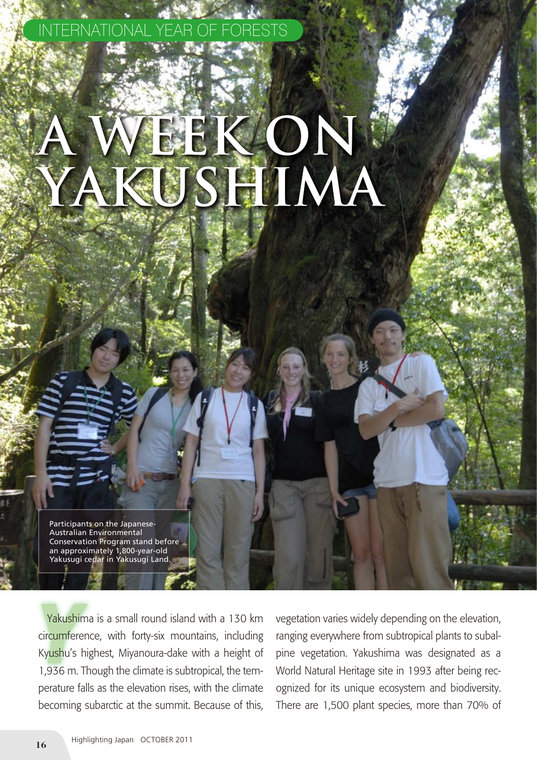Participants on the Japanese-Australian Environmental Conservation Program stand before an approximately 1,800-year-old Yakusugi cedar in Yakusugi Land.

Yakushima is a small round island with a 130 km<br>
circumference, with forty-six mountains, including<br>
Kyushu's highest, Miyanoura-dake with a height of Yakushima is a small round island with a 130 km circumference, with forty-six mountains, including 1,936 m. Though the climate is subtropical, the temperature falls as the elevation rises, with the climate becoming subarctic at the summit. Because of this,

**A Week on** 

**Yakushima**

INTERNATIONAL YEAR OF FORESTS

vegetation varies widely depending on the elevation, ranging everywhere from subtropical plants to subalpine vegetation. Yakushima was designated as a World Natural Heritage site in 1993 after being recognized for its unique ecosystem and biodiversity. There are 1,500 plant species, more than 70% of